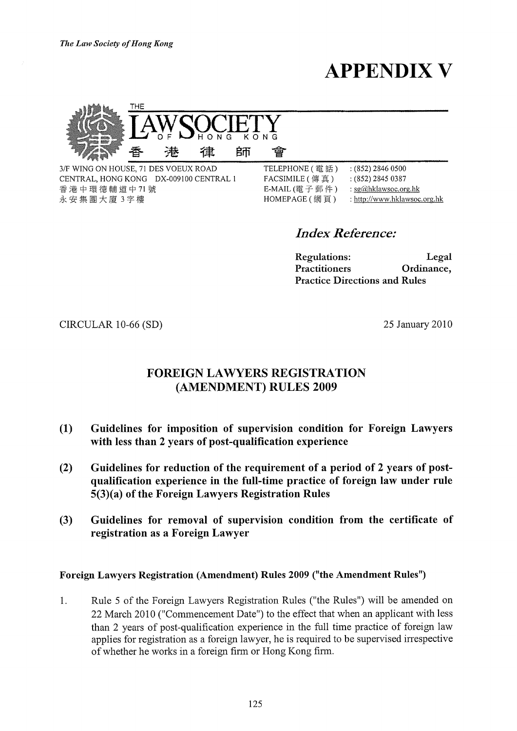The Law Society of Hong Kong

**APPENDIX V** 



3/F WING ON HOUSE, 71 DES VOEUX ROAD CENTRAL, HONG KONG DX-009100 CENTRAL 1 香港中環德輔道中71號 永安集團大廈 3字樓

TELEPHONE (電話)  $(852)$  2846 0500  $:(852)$  2845 0387 FACSIMILE (傳真) E-MAIL (電子郵件) : sg@hklawsoc.org.hk HOMEPAGE (網頁) : http://www.hklawsoc.org.hk

**Index Reference:** 

**Regulations:** Legal **Practitioners** Ordinance, **Practice Directions and Rules** 

CIRCULAR 10-66 (SD)

25 January 2010

# **FOREIGN LAWYERS REGISTRATION** (AMENDMENT) RULES 2009

會

- $(1)$ Guidelines for imposition of supervision condition for Foreign Lawyers with less than 2 years of post-qualification experience
- $(2)$ Guidelines for reduction of the requirement of a period of 2 years of postqualification experience in the full-time practice of foreign law under rule 5(3)(a) of the Foreign Lawyers Registration Rules
- Guidelines for removal of supervision condition from the certificate of  $(3)$ registration as a Foreign Lawyer

## Foreign Lawyers Registration (Amendment) Rules 2009 ("the Amendment Rules")

Rule 5 of the Foreign Lawyers Registration Rules ("the Rules") will be amended on 1. 22 March 2010 ("Commencement Date") to the effect that when an applicant with less than 2 years of post-qualification experience in the full time practice of foreign law applies for registration as a foreign lawyer, he is required to be supervised irrespective of whether he works in a foreign firm or Hong Kong firm.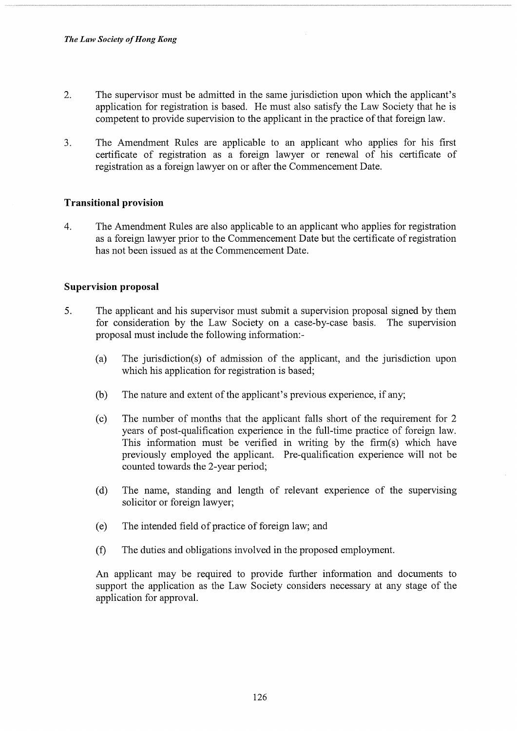- 2. The supervisor must be admitted in the same jurisdiction upon which the applicant's application for registration is based. He must also satisfy the Law Society that he is competent to provide supervision to the applicant in the practice of that foreign law.
- 3. The Amendment Rules are applicable to an applicant who applies for his first certificate of registration as a foreign lawyer or renewal of his certificate of registration as a foreign lawyer on or after the Commencement Date.

### Transitional provision

4. The Amendment Rules are also applicable to an applicant who applies for registration as a foreign lawyer prior to the Commencement Date but the certificate of registration has not been issued as at the Commencement Date.

#### Supervision proposal

- 5. The applicant and his supervisor must submit a supervision proposal signed by them for consideration by the Law Society on a case-by-case basis. The supervision proposal must include the following information:-
	- (a) The jurisdiction(s) of admission of the applicant, and the jurisdiction upon which his application for registration is based;
	- (b) The nature and extent of the applicant's previous experience, if any;
	- (c) The number of months that the applicant falls short of the requirement for 2 years of post-qualification experience in the full-time practice of foreign law. This information must be verified in writing by the firm(s) which have previously employed the applicant. Pre-qualification experience will not be counted towards the 2-year period;
	- (d) The name, standing and length of relevant experience of the supervising solicitor or foreign lawyer;
	- (e) The intended field of practice of foreign law; and
	- (f) The duties and obligations involved in the proposed employment.

An applicant may be required to provide further information and documents to support the application as the Law Society considers necessary at any stage of the application for approval.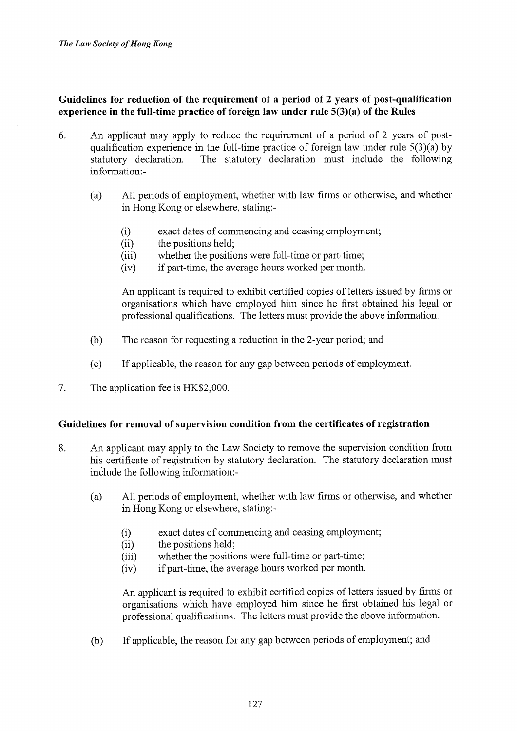Guidelines for reduction of the requirement of a period of 2 years of post-qualification experience in the full-time practice of foreign law under rule 5(3)(a) of the Rules

- 6. An applicant may apply to reduce the requirement of a period of 2 years of postqualification experience in the full-time practice of foreign law under rule 5(3)(a) by statutory declaration. The statutory declaration must include the following information:-
	- (a) All periods of employment, whether with law firms or otherwise, and whether in Hong Kong or elsewhere, stating:-
		- (i) exact dates of commencing and ceasing employment;
		- (ii) the positions held;
		- (iii) whether the positions were full-time or part-time;
		- (iv) if part-time, the average hours worked per month.

An applicant is required to exhibit certified copies of letters issued by firms or organisations which have employed him since he first obtained his legal or professional qualifications. The letters must provide the above information.

- (b) The reason for requesting a reduction in the 2-year period; and
- (c) If applicable, the reason for any gap between periods of employment.
- 7. The application fee is HK\$2,000.

### Guidelines for removal of supervision condition from the certificates of registration

- 8. An applicant may apply to the Law Society to remove the supervision condition from his certificate of registration by statutory declaration. The statutory declaration must include the following information:-
	- (a) All periods of employment, whether with law firms or otherwise, and whether in Hong Kong or elsewhere, stating:-
		- (i) exact dates of commencing and ceasing employment;
		- (ii) the positions held;
		- (iii) whether the positions were full-time or part-time;
		- (iv) if part-time, the average hours worked per month.

An applicant is required to exhibit certified copies of letters issued by firms or organisations which have employed him since he first obtained his legal or professional qualifications. The letters must provide the above information.

(b) If applicable, the reason for any gap between periods of employment; and